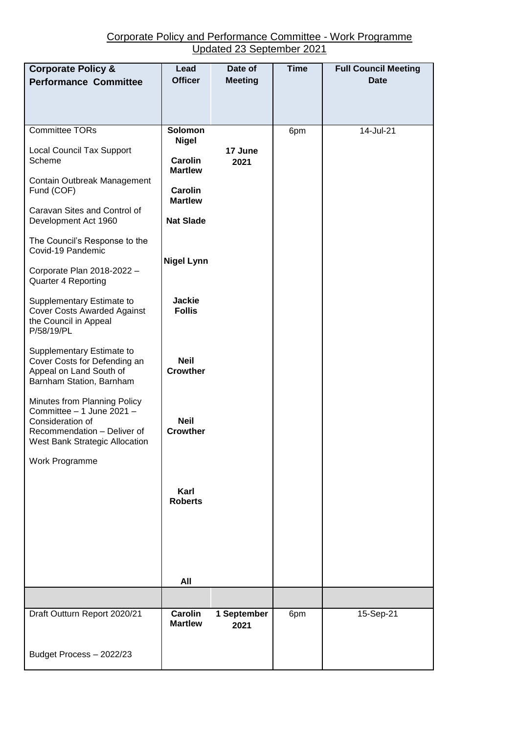## Corporate Policy and Performance Committee - Work Programme Updated 23 September 2021

| <b>Corporate Policy &amp;</b><br><b>Performance Committee</b>                                                                                  | Lead<br><b>Officer</b>           | Date of<br><b>Meeting</b> | <b>Time</b> | <b>Full Council Meeting</b><br><b>Date</b> |
|------------------------------------------------------------------------------------------------------------------------------------------------|----------------------------------|---------------------------|-------------|--------------------------------------------|
| <b>Committee TORs</b>                                                                                                                          | <b>Solomon</b><br><b>Nigel</b>   | 17 June<br>2021           | 6pm         | 14-Jul-21                                  |
| <b>Local Council Tax Support</b><br>Scheme                                                                                                     | Carolin<br><b>Martlew</b>        |                           |             |                                            |
| Contain Outbreak Management<br>Fund (COF)                                                                                                      | <b>Carolin</b><br><b>Martlew</b> |                           |             |                                            |
| Caravan Sites and Control of<br>Development Act 1960                                                                                           | <b>Nat Slade</b>                 |                           |             |                                            |
| The Council's Response to the<br>Covid-19 Pandemic                                                                                             | <b>Nigel Lynn</b>                |                           |             |                                            |
| Corporate Plan 2018-2022 -<br>Quarter 4 Reporting                                                                                              |                                  |                           |             |                                            |
| Supplementary Estimate to<br><b>Cover Costs Awarded Against</b><br>the Council in Appeal<br>P/58/19/PL                                         | <b>Jackie</b><br><b>Follis</b>   |                           |             |                                            |
| Supplementary Estimate to<br>Cover Costs for Defending an<br>Appeal on Land South of<br>Barnham Station, Barnham                               | <b>Neil</b><br><b>Crowther</b>   |                           |             |                                            |
| Minutes from Planning Policy<br>Committee - 1 June 2021 -<br>Consideration of<br>Recommendation - Deliver of<br>West Bank Strategic Allocation | <b>Neil</b><br><b>Crowther</b>   |                           |             |                                            |
| Work Programme                                                                                                                                 |                                  |                           |             |                                            |
|                                                                                                                                                | Karl<br><b>Roberts</b>           |                           |             |                                            |
|                                                                                                                                                |                                  |                           |             |                                            |
|                                                                                                                                                | All                              |                           |             |                                            |
|                                                                                                                                                |                                  |                           |             |                                            |
| Draft Outturn Report 2020/21                                                                                                                   | <b>Carolin</b><br><b>Martlew</b> | 1 September<br>2021       | 6pm         | 15-Sep-21                                  |
| Budget Process - 2022/23                                                                                                                       |                                  |                           |             |                                            |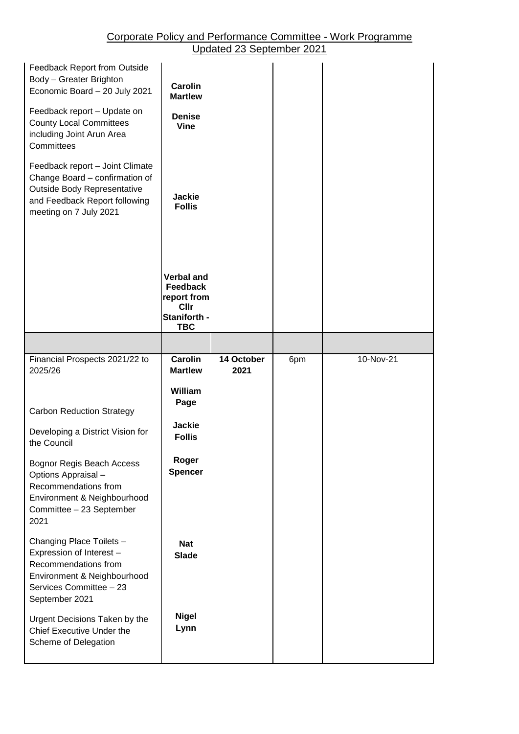## Corporate Policy and Performance Committee - Work Programme Updated 23 September 2021

| Feedback Report from Outside<br>Body - Greater Brighton<br>Economic Board - 20 July 2021<br>Feedback report - Update on<br><b>County Local Committees</b><br>including Joint Arun Area<br>Committees | <b>Carolin</b><br><b>Martlew</b><br><b>Denise</b><br><b>Vine</b>                   |                    |     |           |
|------------------------------------------------------------------------------------------------------------------------------------------------------------------------------------------------------|------------------------------------------------------------------------------------|--------------------|-----|-----------|
| Feedback report - Joint Climate<br>Change Board - confirmation of<br>Outside Body Representative<br>and Feedback Report following<br>meeting on 7 July 2021                                          | <b>Jackie</b><br><b>Follis</b>                                                     |                    |     |           |
|                                                                                                                                                                                                      | <b>Verbal and</b><br><b>Feedback</b><br>report from<br><b>Cllr</b><br>Staniforth - |                    |     |           |
|                                                                                                                                                                                                      | <b>TBC</b>                                                                         |                    |     |           |
| Financial Prospects 2021/22 to<br>2025/26                                                                                                                                                            | <b>Carolin</b><br><b>Martlew</b>                                                   | 14 October<br>2021 | 6pm | 10-Nov-21 |
| <b>Carbon Reduction Strategy</b><br>Developing a District Vision for                                                                                                                                 | William<br>Page<br><b>Jackie</b><br><b>Follis</b>                                  |                    |     |           |
| the Council<br>Bognor Regis Beach Access<br>Options Appraisal -<br>Recommendations from<br>Environment & Neighbourhood<br>Committee - 23 September<br>2021                                           | Roger<br><b>Spencer</b>                                                            |                    |     |           |
| Changing Place Toilets -<br>Expression of Interest -<br>Recommendations from<br>Environment & Neighbourhood<br>Services Committee - 23<br>September 2021                                             | <b>Nat</b><br><b>Slade</b>                                                         |                    |     |           |
| Urgent Decisions Taken by the<br>Chief Executive Under the<br>Scheme of Delegation                                                                                                                   | <b>Nigel</b><br>Lynn                                                               |                    |     |           |